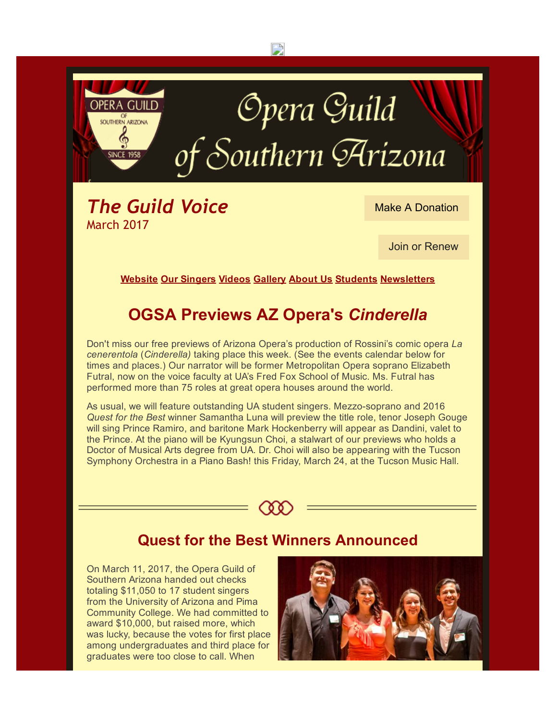

Don't miss our free previews of Arizona Opera's production of Rossini's comic opera La cenerentola (Cinderella) taking place this week. (See the events calendar below for times and places.) Our narrator will be former Metropolitan Opera soprano Elizabeth Futral, now on the voice faculty at UA's Fred Fox School of Music. Ms. Futral has performed more than 75 roles at great opera houses around the world.

As usual, we will feature outstanding UA student singers. Mezzo-soprano and 2016 Quest for the Best winner Samantha Luna will preview the title role, tenor Joseph Gouge will sing Prince Ramiro, and baritone Mark Hockenberry will appear as Dandini, valet to the Prince. At the piano will be Kyungsun Choi, a stalwart of our previews who holds a Doctor of Musical Arts degree from UA. Dr. Choi will also be appearing with the Tucson Symphony Orchestra in a Piano Bash! this Friday, March 24, at the Tucson Music Hall.



#### Quest for the Best Winners Announced

On March 11, 2017, the Opera Guild of Southern Arizona handed out checks totaling \$11,050 to 17 student singers from the University of Arizona and Pima Community College. We had committed to award \$10,000, but raised more, which was lucky, because the votes for first place among undergraduates and third place for graduates were too close to call. When

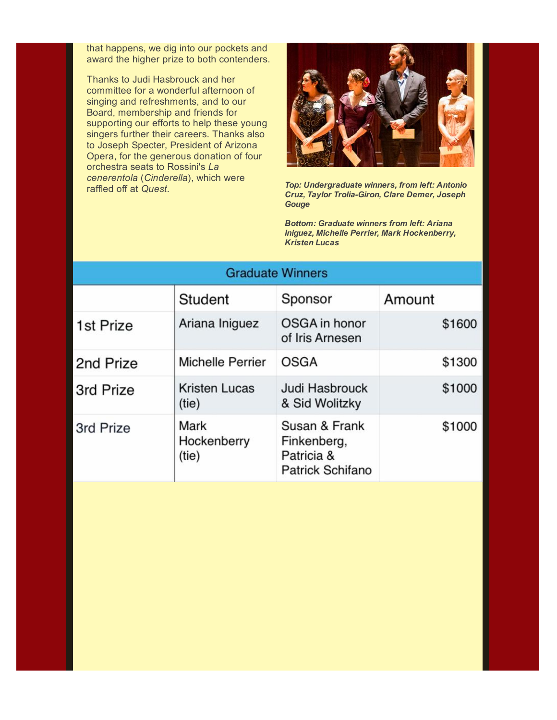that happens, we dig into our pockets and award the higher prize to both contenders.

Thanks to Judi Hasbrouck and her committee for a wonderful afternoon of singing and refreshments, and to our Board, membership and friends for supporting our efforts to help these young singers further their careers. Thanks also to Joseph Specter, President of Arizona Opera, for the generous donation of four orchestra seats to Rossini's La cenerentola (Cinderella), which were raffled off at Quest.



Top: Undergraduate winners, from left: Antonio Cruz, Taylor Trolia-Giron, Clare Demer, Joseph **Gouge** 

Bottom: Graduate winners from left: Ariana Iniguez, Michelle Perrier, Mark Hockenberry, Kristen Lucas

| <b>Graduate Winners</b> |                               |                                                                       |        |  |
|-------------------------|-------------------------------|-----------------------------------------------------------------------|--------|--|
|                         | Student                       | Sponsor                                                               | Amount |  |
| 1st Prize               | Ariana Iniguez                | OSGA in honor<br>of Iris Arnesen                                      | \$1600 |  |
| 2nd Prize               | <b>Michelle Perrier</b>       | <b>OSGA</b>                                                           | \$1300 |  |
| 3rd Prize               | <b>Kristen Lucas</b><br>(tie) | Judi Hasbrouck<br>& Sid Wolitzky                                      | \$1000 |  |
| 3rd Prize               | Mark<br>Hockenberry<br>(tie)  | Susan & Frank<br>Finkenberg,<br>Patricia &<br><b>Patrick Schifano</b> | \$1000 |  |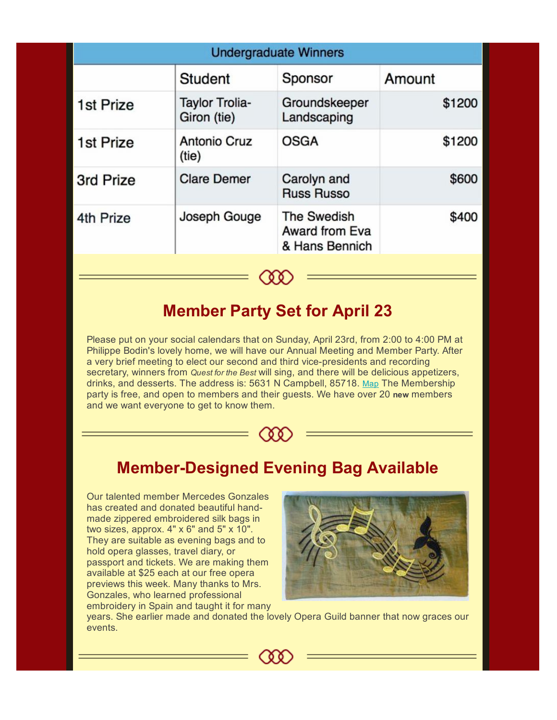| <b>Undergraduate Winners</b> |                                      |                                                        |        |  |
|------------------------------|--------------------------------------|--------------------------------------------------------|--------|--|
|                              | <b>Student</b>                       | Sponsor                                                | Amount |  |
| 1st Prize                    | <b>Taylor Trolia-</b><br>Giron (tie) | Groundskeeper<br>Landscaping                           | \$1200 |  |
| 1st Prize                    | <b>Antonio Cruz</b><br>(tie)         | <b>OSGA</b>                                            | \$1200 |  |
| 3rd Prize                    | <b>Clare Demer</b>                   | Carolyn and<br><b>Russ Russo</b>                       | \$600  |  |
| 4th Prize                    | Joseph Gouge                         | <b>The Swedish</b><br>Award from Eva<br>& Hans Bennich | \$400  |  |
|                              |                                      |                                                        |        |  |

## Member Party Set for April 23

Please put on your social calendars that on Sunday, April 23rd, from 2:00 to 4:00 PM at Philippe Bodin's lovely home, we will have our Annual Meeting and Member Party. After a very brief meeting to elect our second and third vice-presidents and recording secretary, winners from Quest for the Best will sing, and there will be delicious appetizers, drinks, and desserts. The address is: 5631 N Campbell, 85718. [Map](http://r20.rs6.net/tn.jsp?f=001meiI2feD-Az2hAASwxg0CiVZg8Xb-1DlA6yQi3M_QsbGtlSqSqc0CtlV369i6QuaeZXgXL32BV1e1Rjnal7B1lWG7fOm80LCVmMKHvg9HX0P7QjpqS-cmReCgaKLyNhAC2KHr8LwZ_pkRx9K3JyHp7j16HuYIzo9dP76jFBN-KEz6uXA6P4W5oSsO90Y0rEpKsVdeO1VvnWs2nuIBz9VU48O9UsxVnuHKrDPE6qPAM4qhiXEKLkEZlb2dK8CmOmBLzpiT2EAyZn_5AJcHYh3wJH5S5Yc8YWZafv9qdT3MKaQRkeG_klVofPl2oyh4ulkPO9JpL1hfQx3V955uDKixInJTgO1tHNJoG0RZv-3ZKslYMHOFUNkrlMgFt1ZTcrvGDc1WhT1_iU9GVSDRytbY5LMj__SR23gK58--YT23WaOEf7-h8r2AO7VEt16MpG2AKsLN-q551s-86Zgojc3nVA-dSOeAt_gxgan23xYEFdiyA_l-F6hTj-Oquk6fahRJEXqvxsL5bD2HJGV5n04iHKL9iPEFVmKZVq8gPXal37-BIfyejDlghNihLEoJ0KAqZLHr_5cDjYXJ7BmTLRxeJrflLYxs2djzJ4qGnrmyhgRh8GhafoI59j0rbYcymYA3szT6wq2VlHwsPZdmUJZdQ==&c=dI_qCIJxUCXZjQyqcjLvj9HBD-du569yV5Wm672yzHieFaSvPBcXnA==&ch=BWJml-pA0w06r4UCa9cYH1qTdcIqAA3ms3eNAcW_AOVCYUwu59db5w==) The Membership party is free, and open to members and their guests. We have over 20 new members and we want everyone to get to know them.



# **Member-Designed Evening Bag Available**

Our talented member Mercedes Gonzales has created and donated beautiful handmade zippered embroidered silk bags in two sizes, approx. 4" x 6" and 5" x 10". They are suitable as evening bags and to hold opera glasses, travel diary, or passport and tickets. We are making them available at \$25 each at our free opera previews this week. Many thanks to Mrs. Gonzales, who learned professional embroidery in Spain and taught it for many



years. She earlier made and donated the lovely Opera Guild banner that now graces our events.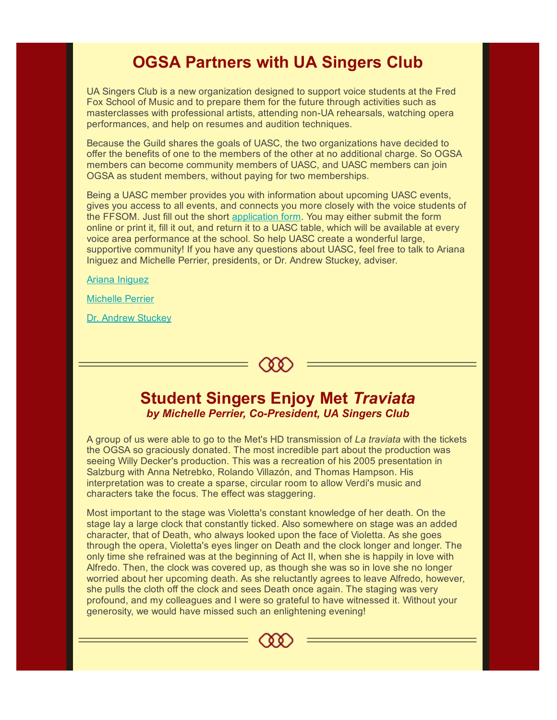## OGSA Partners with UA Singers Club

UA Singers Club is a new organization designed to support voice students at the Fred Fox School of Music and to prepare them for the future through activities such as masterclasses with professional artists, attending non-UA rehearsals, watching opera performances, and help on resumes and audition techniques.

Because the Guild shares the goals of UASC, the two organizations have decided to offer the benefits of one to the members of the other at no additional charge. So OGSA members can become community members of UASC, and UASC members can join OGSA as student members, without paying for two memberships.

Being a UASC member provides you with information about upcoming UASC events, gives you access to all events, and connects you more closely with the voice students of the FFSOM. Just fill out the short [application](http://r20.rs6.net/tn.jsp?f=001meiI2feD-Az2hAASwxg0CiVZg8Xb-1DlA6yQi3M_QsbGtlSqSqc0CtlV369i6QuaV8E9paDBlL7l-maEJWtCVyWVqY2ZN_x9KzsJDScxERTJb18wDYrUfeki4RCVs3Cx47ostVVFHir6OmfnNwpQCmPwM3-LsGnPNkNn6Zi-s6igO9gS_d6mxDvZZRQDsdjPq0sYeiDIZIJ7MSNBGSAZMSq0_jsPeLqn3YF494EaVNonMH2y3Gt5TwzQIMfjv2VyvjQBju5Eck0=&c=dI_qCIJxUCXZjQyqcjLvj9HBD-du569yV5Wm672yzHieFaSvPBcXnA==&ch=BWJml-pA0w06r4UCa9cYH1qTdcIqAA3ms3eNAcW_AOVCYUwu59db5w==) form. You may either submit the form online or print it, fill it out, and return it to a UASC table, which will be available at every voice area performance at the school. So help UASC create a wonderful large, supportive community! If you have any questions about UASC, feel free to talk to Ariana Iniguez and Michelle Perrier, presidents, or Dr. Andrew Stuckey, adviser.

Ariana [Iniguez](mailto:iniguez1@email.arizona.edu)

[Michelle](mailto:mperrier@email.arizona.edu) Perrier

Dr. Andrew [Stuckey](mailto:wastuckey@email.arizona.edu)

#### Student Singers Enjoy Met Traviata by Michelle Perrier, Co-President, UA Singers Club

८ ० ०

A group of us were able to go to the Met's HD transmission of La traviata with the tickets the OGSA so graciously donated. The most incredible part about the production was seeing Willy Decker's production. This was a recreation of his 2005 presentation in Salzburg with Anna Netrebko, Rolando Villazón, and Thomas Hampson. His interpretation was to create a sparse, circular room to allow Verdi's music and characters take the focus. The effect was staggering.

Most important to the stage was Violetta's constant knowledge of her death. On the stage lay a large clock that constantly ticked. Also somewhere on stage was an added character, that of Death, who always looked upon the face of Violetta. As she goes through the opera, Violetta's eyes linger on Death and the clock longer and longer. The only time she refrained was at the beginning of Act II, when she is happily in love with Alfredo. Then, the clock was covered up, as though she was so in love she no longer worried about her upcoming death. As she reluctantly agrees to leave Alfredo, however, she pulls the cloth off the clock and sees Death once again. The staging was very profound, and my colleagues and I were so grateful to have witnessed it. Without your generosity, we would have missed such an enlightening evening!